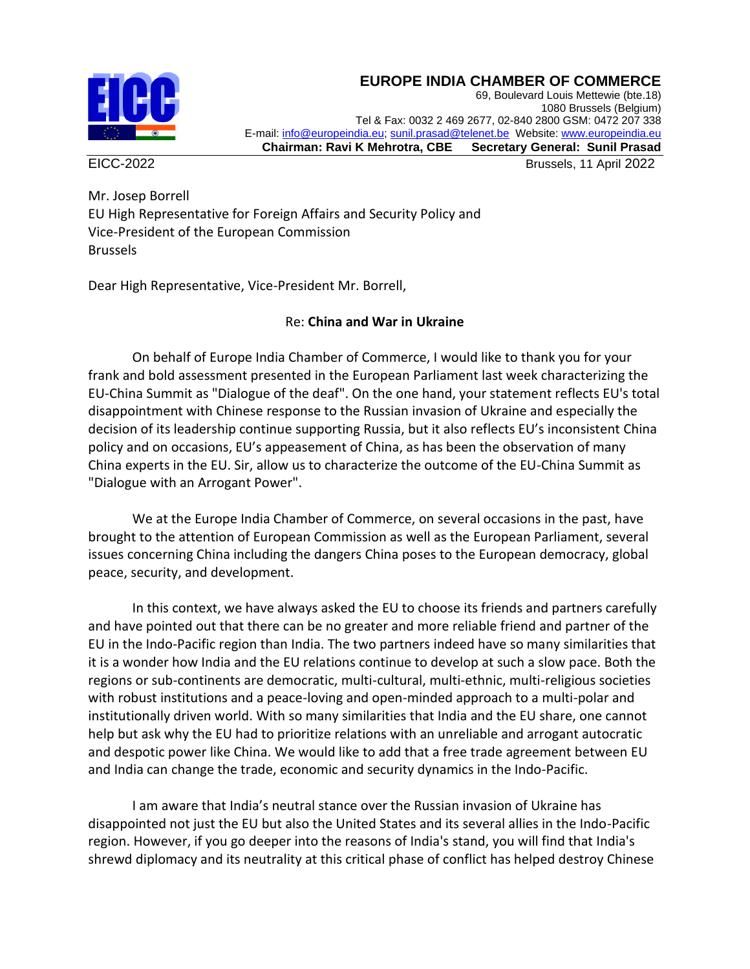## **EUROPE INDIA CHAMBER OF COMMERCE**



69, Boulevard Louis Mettewie (bte.18) 1080 Brussels (Belgium) Tel & Fax: 0032 2 469 2677, 02-840 2800 GSM: 0472 207 338 E-mail[: info@europeindia.eu;](mailto:info@europeindia.eu) [sunil.prasad@telenet.be](mailto:sunil.prasad@telenet.be) Website[: www.europeindia.eu](http://www.europeindia.eu/)  **Chairman: Ravi K Mehrotra, CBE Secretary General: Sunil Prasad**

EICC-2022 Brussels, 11 April 2022

Mr. Josep Borrell EU High Representative for Foreign Affairs and Security Policy and Vice-President of the European Commission Brussels

Dear High Representative, Vice-President Mr. Borrell,

## Re: **China and War in Ukraine**

On behalf of Europe India Chamber of Commerce, I would like to thank you for your frank and bold assessment presented in the European Parliament last week characterizing the EU-China Summit as "Dialogue of the deaf". On the one hand, your statement reflects EU's total disappointment with Chinese response to the Russian invasion of Ukraine and especially the decision of its leadership continue supporting Russia, but it also reflects EU's inconsistent China policy and on occasions, EU's appeasement of China, as has been the observation of many China experts in the EU. Sir, allow us to characterize the outcome of the EU-China Summit as "Dialogue with an Arrogant Power".

We at the Europe India Chamber of Commerce, on several occasions in the past, have brought to the attention of European Commission as well as the European Parliament, several issues concerning China including the dangers China poses to the European democracy, global peace, security, and development.

In this context, we have always asked the EU to choose its friends and partners carefully and have pointed out that there can be no greater and more reliable friend and partner of the EU in the Indo-Pacific region than India. The two partners indeed have so many similarities that it is a wonder how India and the EU relations continue to develop at such a slow pace. Both the regions or sub-continents are democratic, multi-cultural, multi-ethnic, multi-religious societies with robust institutions and a peace-loving and open-minded approach to a multi-polar and institutionally driven world. With so many similarities that India and the EU share, one cannot help but ask why the EU had to prioritize relations with an unreliable and arrogant autocratic and despotic power like China. We would like to add that a free trade agreement between EU and India can change the trade, economic and security dynamics in the Indo-Pacific.

I am aware that India's neutral stance over the Russian invasion of Ukraine has disappointed not just the EU but also the United States and its several allies in the Indo-Pacific region. However, if you go deeper into the reasons of India's stand, you will find that India's shrewd diplomacy and its neutrality at this critical phase of conflict has helped destroy Chinese